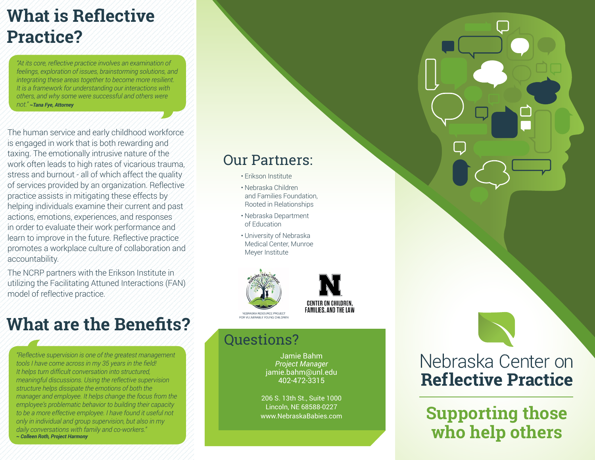### **What is Reflective Practice?**

*"At its core, reflective practice involves an examination of feelings, exploration of issues, brainstorming solutions, and integrating these areas together to become more resilient. It is a framework for understanding our interactions with others, and why some were successful and others were not." ~Tana Fye, Attorney*

The human service and early childhood workforce is engaged in work that is both rewarding and taxing. The emotionally intrusive nature of the work often leads to high rates of vicarious trauma, stress and burnout - all of which affect the quality of services provided by an organization. Reflective practice assists in mitigating these effects by helping individuals examine their current and past actions, emotions, experiences, and responses in order to evaluate their work performance and learn to improve in the future. Reflective practice promotes a workplace culture of collaboration and accountability.

The NCRP partners with the Erikson Institute in utilizing the Facilitating Attuned Interactions (FAN) model of reflective practice.

### **What are the Benefits?**

*"Reflective supervision is one of the greatest management tools I have come across in my 35 years in the field! It helps turn difficult conversation into structured, meaningful discussions. Using the reflective supervision structure helps dissipate the emotions of both the manager and employee. It helps change the focus from the employee's problematic behavior to building their capacity to be a more effective employee. I have found it useful not only in individual and group supervision, but also in my daily conversations with family and co-workers." ~ Colleen Roth, Project Harmony* 

### Our Partners:

- Erikson Institute
- Nebraska Children and Families Foundation, Rooted in Relationships
- Nebraska Department of Education
- University of Nebraska Medical Center, Munroe Meyer Institute





#### Questions?

Jamie Bahm *Project Manager* jamie.bahm@unl.edu 402-472-3315

206 S. 13th St., Suite 1000 Lincoln, NE 68588-0227 www.NebraskaBabies.com

### Nebraska Center on **Reflective Practice**

**Supporting those who help others**